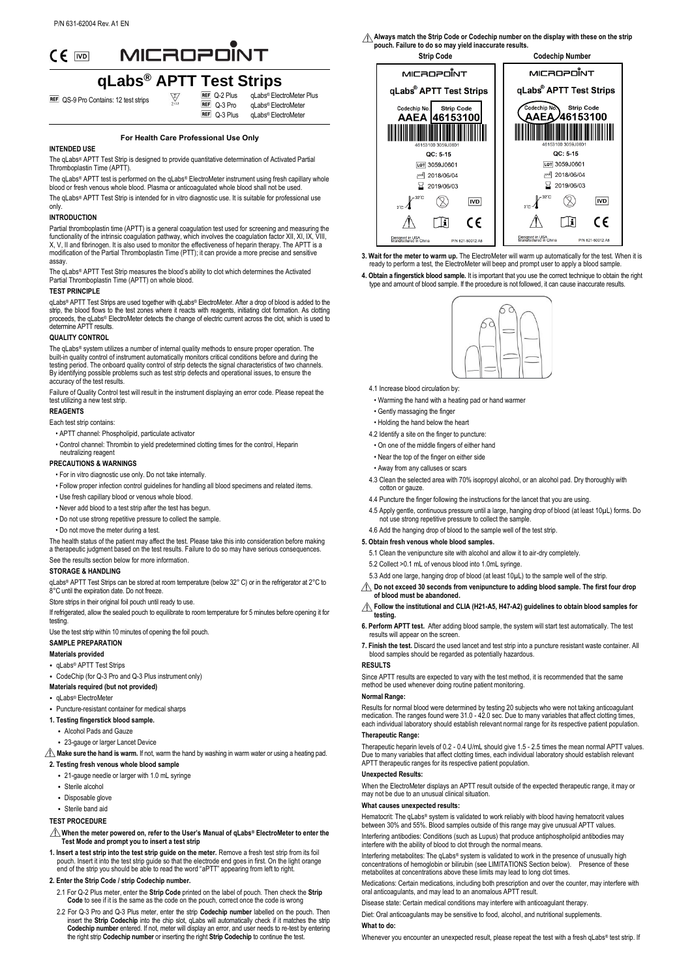# MICROPONT

# **qLabs**<sup>®</sup> **APTT** Test Strips

**REF** QS-9 Pro Contains: 12 test strips  $\overline{\mathbb{Z}}$ 

 $REF$  Q-3 Pro  $REF$  Q-3 Plus qLabs® ElectroMeter Plus qLabs® ElectroMeter qLabs® ElectroMeter

# **For Health Care Professional Use Only**

# **INTENDED USE**

The qLabs® APTT Test Strip is designed to provide quantitative determination of Activated Partial Thromboplastin Time (APTT).

The qLabs® APTT test is performed on the qLabs® ElectroMeter instrument using fresh capillary whole blood or fresh venous whole blood. Plasma or anticoagulated whole blood shall not be used.

The qLabs® APTT Test Strip is intended for in vitro diagnostic use. It is suitable for professional use only.

#### **INTRODUCTION**

Partial thromboplastin time (APTT) is a general coagulation test used for screening and measuring the functionality of the intrinsic coagulation pathway, which involves the coagulation factor XII, XI, IX, VIII,<br>X, V, II and fibrinogen. It is also used to monitor the effectiveness of heparin therapy. The APTT is a modification of the Partial Thromboplastin Time (PTT); it can provide a more precise and sensitive assay.

The qLabs® APTT Test Strip measures the blood's ability to clot which determines the Activated Partial Thromboplastin Time (APTT) on whole blood.

# **TEST PRINCIPLE**

qLabs® APTT Test Strips are used together with qLabs® ElectroMeter. After a drop of blood is added to the<br>strip, the blood flows to the test zones where it reacts with reagents, initiating clot formation. As clotting proceeds, the qLabs® ElectroMeter detects the change of electric current across the clot, which is used to determine APTT results.

# **QUALITY CONTROL**

The qLabs® system utilizes a number of internal quality methods to ensure proper operation. The built-in quality control of instrument automatically monitors critical conditions before and during the testing period. The onboard quality control of strip detects the signal characteristics of two channels. By identifying possible problems such as test strip defects and operational issues, to ensure the accuracy of the test results.

Failure of Quality Control test will result in the instrument displaying an error code. Please repeat the test utilizing a new test strip.

# **REAGENTS**

#### Each test strip contains:

- APTT channel: Phospholipid, particulate activator
- Control channel: Thrombin to yield predetermined clotting times for the control, Heparin

#### neutralizing reagent **PRECAUTIONS & WARNINGS**

- For in vitro diagnostic use only. Do not take internally.
- Follow proper infection control guidelines for handling all blood specimens and related items.
- Use fresh capillary blood or venous whole blood.
- 
- Never add blood to a test strip after the test has begun.
- Do not use strong repetitive pressure to collect the sample.
- Do not move the meter during a test.

The health status of the patient may affect the test. Please take this into consideration before making a therapeutic judgment based on the test results. Failure to do so may have serious consequences.

# See the results section below for more information.

# **STORAGE & HANDLING**

 $\alpha$ Labs® APTT Test Strips can be stored at room temperature (below 32° C) or in the refrigerator at 2°C to 8° C until the expiration date. Do not freeze.

Store strips in their original foil pouch until ready to use.

If refrigerated, allow the sealed pouch to equilibrate to room temperature for 5 minutes before opening it for testing

# Use the test strip within 10 minutes of opening the foil pouch.

# **SAMPLE PREPARATION**

**Materials provided**

# • qLabs® APTT Test Strips

- CodeChip (for Q-3 Pro and Q-3 Plus instrument only)
- **Materials required (but not provided)**
- qLabs® ElectroMete
- Puncture-resistant container for medical sharps
- **1. Testing fingerstick blood sample.**
	- Alcohol Pads and Gauze
	- 23-gauge or larger Lancet Device
- $\hat{\triangle}$  Make sure the hand is warm. If not, warm the hand by washing in warm water or using a heating pad. **2. Testing fresh venous whole blood sample**

# • 21-gauge needle or larger with 1.0 mL syringe

- Sterile alcohol
- Disposable glove
- Sterile band aid
- 

# **TEST PROCEDURE**

- **When the meter powered on, refer to the User's Manual of qLabs® ElectroMeter to enter the Test Mode and prompt you to insert a test strip**
- **1. Insert a test strip into the test strip guide on the meter.** Remove a fresh test strip from its foil pouch. Insert it into the test strip guide so that the electrode end goes in first. On the light orange end of the strip you should be able to read the word "aPTT" appearing from left to right.

# **2. Enter the Strip Code / strip Codechip number.**

- 2.1 For Q-2 Plus meter, enter the **Strip Code** printed on the label of pouch. Then check the **Strip Code** to see if it is the same as the code on the pouch, correct once the code is wrong
- 2.2 For Q-3 Pro and Q-3 Plus meter, enter the strip **Codechip number** labelled on the pouch. Then insert the **Strip Codechip** into the chip slot, qLabs will automatically check if it matches the strip into the chip slot, qLabs will automatically check if it matches the strip **Codechip number** entered. If not, meter will display an error, and user needs to re-test by entering the right strip **Codechip number** or inserting the right **Strip Codechip** to continue the test.

**Always match the Strip Code or Codechip number on the display with these on the strip pouch. Failure to do so may yield inaccurate results.**



**3. Wait for the meter to warm up.** The ElectroMeter will warm up automatically for the test. When it is ready to perform a test, the ElectroMeter will beep and prompt user to apply a blood sample.

**4. Obtain a fingerstick blood sample.** It is important that you use the correct technique to obtain the right type and amount of blood sample. If the procedure is not followed, it can cause inaccurate results.



- 4.1 Increase blood circulation by:
- Warming the hand with a heating pad or hand warmer
- Gently massaging the finger
- Holding the hand below the heart
- 4.2 Identify a site on the finger to puncture:
- On one of the middle fingers of either hand
- Near the top of the finger on either side
- Away from any calluses or scars
- 4.3 Clean the selected area with 70% isopropyl alcohol, or an alcohol pad. Dry thoroughly with cotton or gauze.
- 4.4 Puncture the finger following the instructions for the lancet that you are using.
- 4.5 Apply gentle, continuous pressure until a large, hanging drop of blood (at least 10µL) forms. Do not use strong repetitive pressure to collect the sample.
- 4.6 Add the hanging drop of blood to the sample well of the test strip.

# **5. Obtain fresh venous whole blood samples.**

- 5.1 Clean the venipuncture site with alcohol and allow it to air-dry completely.
- 5.2 Collect >0.1 mL of venous blood into 1.0mL syringe.
- 5.3 Add one large, hanging drop of blood (at least  $10\mu$ L) to the sample well of the strip
- **Do not exceed 30 seconds from venipuncture to adding blood sample. The first four drop of blood must be abandoned.**

# **Follow the institutional and CLIA (H21-A5, H47-A2) guidelines to obtain blood samples for testing.**

- **6. Perform APTT test.** After adding blood sample, the system will start test automatically. The test results will appear on the screen.
- **7. Finish the test.** Discard the used lancet and test strip into a puncture resistant waste container. All blood samples should be regarded as potentially hazardous.

# **RESULTS**

Since APTT results are expected to vary with the test method, it is recommended that the same method be used whenever doing routine patient monitoring.

### **Normal Range:**

Results for normal blood were determined by testing 20 subjects who were not taking anticoagulant medication. The ranges found were 31.0 - 42.0 sec. Due to many variables that affect clotting times, each individual laboratory should establish relevant normal range for its respective patient population. **Therapeutic Range:** 

Therapeutic heparin levels of 0.2 - 0.4 U/mL should give 1.5 - 2.5 times the mean normal APTT values. Due to many variables that affect clotting times, each individual laboratory should establish relevant APTT therapeutic ranges for its respective patient population.

#### **Unexpected Results:**

When the ElectroMeter displays an APTT result outside of the expected therapeutic range, it may or may not be due to an unusual clinical situation.

#### **What causes unexpected results:**

Hematocrit: The qLabs® system is validated to work reliably with blood having hematocrit values between 30% and 55%. Blood samples outside of this range may give unusual APTT values.

Interfering antibodies: Conditions (such as Lupus) that produce antiphospholipid antibodies may interfere with the ability of blood to clot through the normal means.

Interfering metabolites: The qLabs® system is validated to work in the presence of unusually high<br>concentrations of hemoglobin or bilirubin (see LIMITATIONS Section below). Presence of these concentrations of hemoglobin or bilirubin (see LIMITATIONS Section below). metabolites at concentrations above these limits may lead to long clot times.

Medications: Certain medications, including both prescription and over the counter, may interfere with oral anticoagulants, and may lead to an anomalous APTT result.

Disease state: Certain medical conditions may interfere with anticoagulant therapy. Diet: Oral anticoagulants may be sensitive to food, alcohol, and nutritional supplements.

**What to do:** 

Whenever you encounter an unexpected result, please repeat the test with a fresh qLabs® test strip. If